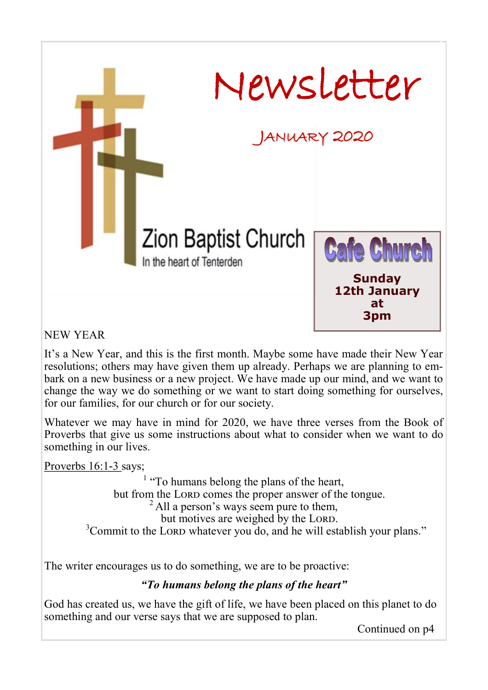

NEW YEAR

It's a New Year, and this is the first month. Maybe some have made their New Year resolutions; others may have given them up already. Perhaps we are planning to embark on a new business or a new project. We have made up our mind, and we want to change the way we do something or we want to start doing something for ourselves, for our families, for our church or for our society.

Whatever we may have in mind for 2020, we have three verses from the Book of Proverbs that give us some instructions about what to consider when we want to do something in our lives.

Proverbs 16:1-3 says;

<sup>1</sup> "To humans belong the plans of the heart, but from the LORD comes the proper answer of the tongue.  $^{2}$  All a person's ways seem pure to them, but motives are weighed by the LORD.  $3$ Commit to the LORD whatever you do, and he will establish your plans."

The writer encourages us to do something, we are to be proactive:

### *"To humans belong the plans of the heart"*

God has created us, we have the gift of life, we have been placed on this planet to do something and our verse says that we are supposed to plan.

Continued on p4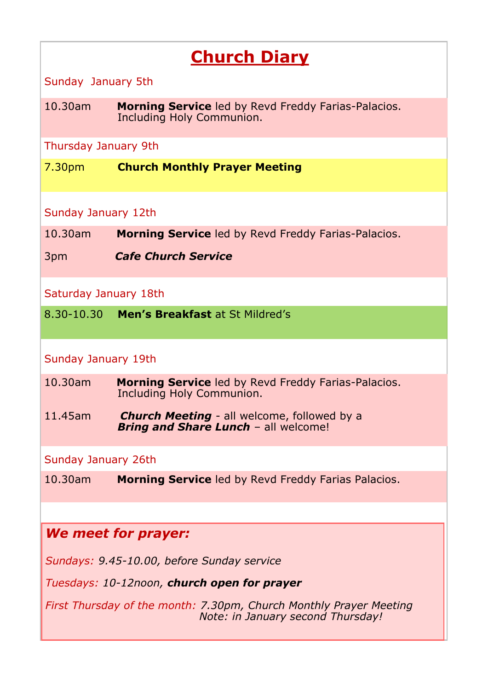# **Church Diary**

Sunday January 5th

10.30am **Morning Service** led by Revd Freddy Farias-Palacios. Including Holy Communion.

Thursday January 9th

7.30pm **Church Monthly Prayer Meeting**

### Sunday January 12th

10.30am **Morning Service** led by Revd Freddy Farias-Palacios.

3pm *Cafe Church Service*

Saturday January 18th

8.30-10.30 **Men's Breakfast** at St Mildred's

### Sunday January 19th

- 10.30am **Morning Service** led by Revd Freddy Farias-Palacios. Including Holy Communion.
- 11.45am *Church Meeting* all welcome, followed by a *Bring and Share Lunch - all welcome!*

### Sunday January 26th

10.30am **Morning Service** led by Revd Freddy Farias Palacios.

### *We meet for prayer:*

*Sundays: 9.45-10.00, before Sunday service*

*Tuesdays: 10-12noon, church open for prayer*

*First Thursday of the month: 7.30pm, Church Monthly Prayer Meeting Note: in January second Thursday!*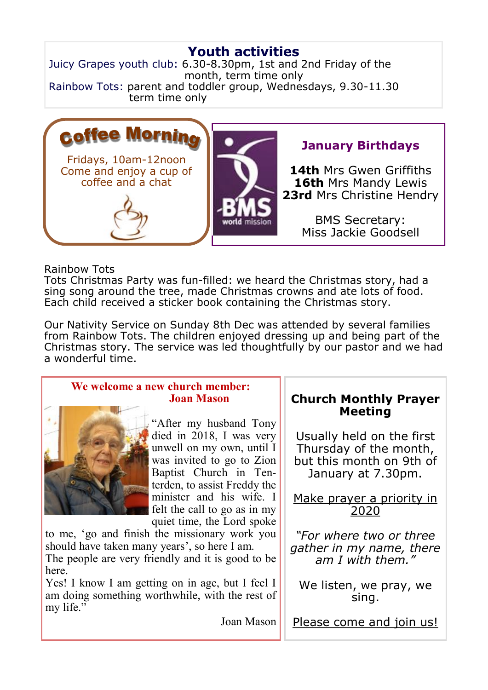# **Youth activities**

Juicy Grapes youth club: 6.30-8.30pm, 1st and 2nd Friday of the month, term time only Rainbow Tots: parent and toddler group, Wednesdays, 9.30-11.30 term time only



## **January Birthdays**

**14th** Mrs Gwen Griffiths **16th** Mrs Mandy Lewis **23rd** Mrs Christine Hendry

> BMS Secretary: Miss Jackie Goodsell

#### Rainbow Tots

Tots Christmas Party was fun-filled: we heard the Christmas story, had a sing song around the tree, made Christmas crowns and ate lots of food. Each child received a sticker book containing the Christmas story.

Our Nativity Service on Sunday 8th Dec was attended by several families from Rainbow Tots. The children enjoyed dressing up and being part of the Christmas story. The service was led thoughtfully by our pastor and we had a wonderful time.

| We welcome a new church member:<br><b>Joan Mason</b>     | <b>Church Monthly Prayer</b> |
|----------------------------------------------------------|------------------------------|
|                                                          | <b>Meeting</b>               |
| "After my husband Tony                                   |                              |
| died in 2018, I was very                                 | Usually held on the first    |
| unwell on my own, until I                                | Thursday of the month,       |
| was invited to go to Zion                                | but this month on 9th of     |
| Baptist Church in Ten-                                   | January at 7.30pm.           |
| terden, to assist Freddy the<br>minister and his wife. I |                              |
| felt the call to go as in my                             | Make prayer a priority in    |
| quiet time, the Lord spoke                               | 2020                         |
| to me, 'go and finish the missionary work you            | "For where two or three      |
| should have taken many years', so here I am.             | gather in my name, there     |
| The people are very friendly and it is good to be        | am I with them."             |
| here.                                                    |                              |
| Yes! I know I am getting on in age, but I feel I         | We listen, we pray, we       |
| am doing something worthwhile, with the rest of          | sing.                        |
| my life."                                                |                              |
| Joan Mason                                               | Please come and join us!     |